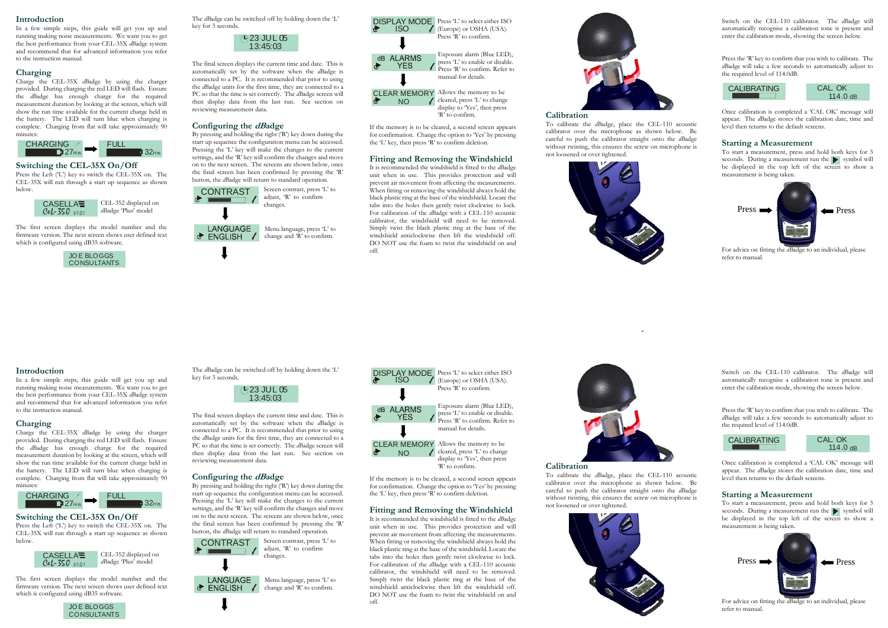#### **Introduction**

In a few simple steps, this guide will get you up and running making noise measurements. We want you to get the best performance from your CEL-35X *dB*adge system and recommend that for advanced information you refer to the instruction manual.

#### **Charging**

Charge the CEL-35X *dB*adge by using the charger provided. During charging the red LED will flash. Ensure the *dB*adge has enough charge for the required measurement duration by looking at the screen, which will show the run time available for the current charge held in the battery. The LED will turn blue when charging is complete. Charging from flat will take approximately 90 minutes:

# **Switching the CEL-35X On/Off**

Press the Left ('L') key to switch the CEL-35X on. The CEL-35X will run through a start up sequence as shown below.

The first screen displays the model number and the firmware version. The next screen shows user defined textwhich is configured using dB35 software.

The *dB*adge can be switched off by holding down the 'L' key for 3 seconds.

The final screen displays the current time and date. This is automatically set by the software when the *dB*adge is connected to a PC. It is recommended that prior to using the *dB*adge units for the first time, they are connected to a PC so that the time is set correctly. The *dB*adge screen will then display data from the last run. See section on reviewing measurement data.

# **Configuring the dBadge**

By pressing and holding the right ('R') key down during the start up sequence the configuration menu can be accessed. Pressing the 'L' key will make the changes to the current settings, and the 'R' key will confirm the changes and move on to the next screen. The screens are shown below, once the final screen has been confirmed by pressing the 'R' button, the *dB*adge will return to standard operation.

#### **Calibration**

**CLEAR MEMORY** Allows the memory to be  $\angle$  cleared, press 'L' to change display to 'Yes', then press 'R' to confirm.

To calibrate the *dB*adge, place the CEL-110 acoustic calibrator over the microphone as shown below. Be careful to push the calibrator straight onto the *dB*adge without twisting, this ensures the screw on microphone is not loosened or over tightened.



Switch on the CEL-110 calibrator. The *dB*adge will automatically recognise a calibration tone is present and enter the calibration mode, showing the screen below.

Press the 'R' key to confirm that you wish to calibrate. The *dB*adge will take a few seconds to automatically adjust to the required level of 114.0dB.

Once calibration is completed a 'CAL OK' message will appear. The *dB*adge stores the calibration date, time and level then returns to the default screens.

Press the Left ('L') key to switch the CEL-35X on. The CEL-35X will run through a start up sequence as shown below.

#### **Starting a Measurement**

To start a measurement, press and hold both keys for 3 seconds. During a measurement run the  $\blacktriangleright$  symbol will be displayed in the top left of the screen to show a measurement is being taken.

For advice on fitting the *dB*adge to an individual, please refer to manual.

If the memory is to be cleared, a second screen appears for confirmation. Change the option to 'Yes' by pressing the 'L' key, then press 'R' to confirm deletion.

# **Fitting and Removing the Windshield**

It is recommended the windshield is fitted to the *dB*adge unit when in use. This provides protection and will prevent air movement from affecting the measurements. When fitting or removing the windshield always hold the black plastic ring at the base of the windshield. Locate the tabs into the holes then gently twist clockwise to lock. For calibration of the *dB*adge with a CEL-110 acoustic calibrator, the windshield will need to be removed. Simply twist the black plastic ring at the base of the windshield anticlockwise then lift the windshield off. DO NOT use the foam to twist the windshield on and off.







LANGUAGE Menu language, press 'L' to  $\bullet$  ENGLISH  $\bullet$  change and 'R' to confirm.



Press 'L' to select either ISO (Europe) or OSHA (USA). Press 'R' to confirm. Exposure alarm (Blue LED), press 'L' to enable or disable.





NO

cleared, press 'L' to change display to 'Yes', then press 'R' to confirm.

| <b>CALIBRATING</b> |  |
|--------------------|--|
|                    |  |

Exposure alarm (Blue LED), press 'L' to enable or disable. Press 'R' to confirm. Refer to manual for details.







CEL-352 displayed on *dB*adge 'Plus' model

# **Introduction**

In a few simple steps, this guide will get you up and running making noise measurements. We want you to get the best performance from your CEL-35X *dB*adge system and recommend that for advanced information you refer to the instruction manual.

# **Charging**

Charge the CEL-35X *dB*adge by using the charger provided. During charging the red LED will flash. Ensure the *dB*adge has enough charge for the required measurement duration by looking at the screen, which will show the run time available for the current charge held in the battery. The LED will turn blue when charging is complete. Charging from flat will take approximately 90 minutes:

# **Switching the CEL-35X On/Off**

The first screen displays the model number and the firmware version. The next screen shows user defined textwhich is configured using dB35 software.

The *dB*adge can be switched off by holding down the 'L' key for 3 seconds.

The final screen displays the current time and date. This is automatically set by the software when the *dB*adge is connected to a PC. It is recommended that prior to using the *dB*adge units for the first time, they are connected to a PC so that the time is set correctly. The *dB*adge screen will then display data from the last run. See section on reviewing measurement data.

# **Configuring the dBadge**

By pressing and holding the right ('R') key down during the start up sequence the configuration menu can be accessed. Pressing the 'L' key will make the changes to the current settings, and the 'R' key will confirm the changes and move on to the next screen. The screens are shown below, once the final screen has been confirmed by pressing the 'R' button, the *dB*adge will return to standard operation.

# **Calibration**

To calibrate the *dB*adge, place the CEL-110 acoustic calibrator over the microphone as shown below. Be careful to push the calibrator straight onto the *dB*adge without twisting, this ensures the screw on microphone is not loosened or over tightened.



Switch on the CEL-110 calibrator. The *dB*adge will automatically recognise a calibration tone is present and enter the calibration mode, showing the screen below.

Press the 'R' key to confirm that you wish to calibrate. The *dB*adge will take a few seconds to automatically adjust to the required level of 114.0dB.

Once calibration is completed a 'CAL OK' message will appear. The *dB*adge stores the calibration date, time and level then returns to the default screens.

#### **Starting a Measurement**

To start a measurement, press and hold both keys for 3 seconds. During a measurement run the symbol will be displayed in the top left of the screen to show a measurement is being taken.

For advice on fitting the *dB*adge to an individual, please refer to manual.





If the memory is to be cleared, a second screen appears for confirmation. Change the option to 'Yes' by pressing the 'L' key, then press 'R' to confirm deletion.

#### **Fitting and Removing the Windshield**

It is recommended the windshield is fitted to the *dB*adge unit when in use. This provides protection and will prevent air movement from affecting the measurements. When fitting or removing the windshield always hold the black plastic ring at the base of the windshield. Locate the tabs into the holes then gently twist clockwise to lock. For calibration of the *dB*adge with a CEL-110 acoustic calibrator, the windshield will need to be removed. Simply twist the black plastic ring at the base of the windshield anticlockwise then lift the windshield off. DO NOT use the foam to twist the windshield on and off.















# CALIBRATING

Press 'R' to confirm. Refer to manual for details.







CEL-352 displayed on *dB*adge 'Plus' model